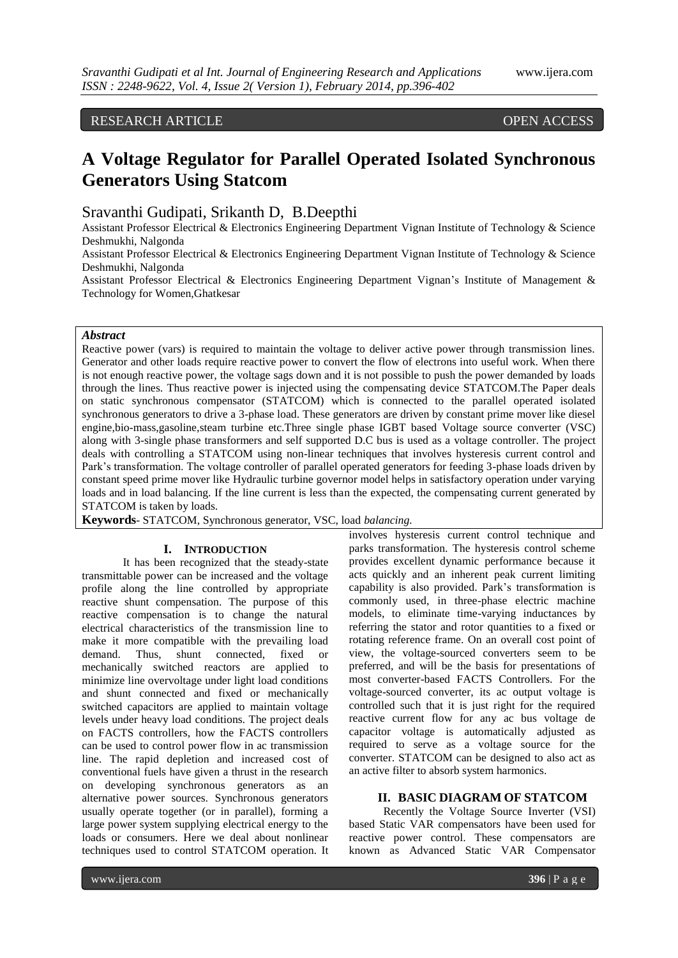# RESEARCH ARTICLE OPEN ACCESS

# **A Voltage Regulator for Parallel Operated Isolated Synchronous Generators Using Statcom**

Sravanthi Gudipati, Srikanth D, B.Deepthi

Assistant Professor Electrical & Electronics Engineering Department Vignan Institute of Technology & Science Deshmukhi, Nalgonda

Assistant Professor Electrical & Electronics Engineering Department Vignan Institute of Technology & Science Deshmukhi, Nalgonda

Assistant Professor Electrical & Electronics Engineering Department Vignan's Institute of Management & Technology for Women,Ghatkesar

### *Abstract*

Reactive power (vars) is required to maintain the voltage to deliver active power through transmission lines. Generator and other loads require reactive power to convert the flow of electrons into useful work. When there is not enough reactive power, the voltage sags down and it is not possible to push the power demanded by loads through the lines. Thus reactive power is injected using the compensating device STATCOM.The Paper deals on static synchronous compensator (STATCOM) which is connected to the parallel operated isolated synchronous generators to drive a 3-phase load. These generators are driven by constant prime mover like diesel engine,bio-mass,gasoline,steam turbine etc.Three single phase IGBT based Voltage source converter (VSC) along with 3-single phase transformers and self supported D.C bus is used as a voltage controller. The project deals with controlling a STATCOM using non-linear techniques that involves hysteresis current control and Park's transformation. The voltage controller of parallel operated generators for feeding 3-phase loads driven by constant speed prime mover like Hydraulic turbine governor model helps in satisfactory operation under varying loads and in load balancing. If the line current is less than the expected, the compensating current generated by STATCOM is taken by loads.

**Keywords**- STATCOM, Synchronous generator, VSC, load *balancing.*

# **I. INTRODUCTION**

It has been recognized that the steady-state transmittable power can be increased and the voltage profile along the line controlled by appropriate reactive shunt compensation. The purpose of this reactive compensation is to change the natural electrical characteristics of the transmission line to make it more compatible with the prevailing load demand. Thus, shunt connected, fixed or mechanically switched reactors are applied to minimize line overvoltage under light load conditions and shunt connected and fixed or mechanically switched capacitors are applied to maintain voltage levels under heavy load conditions. The project deals on FACTS controllers, how the FACTS controllers can be used to control power flow in ac transmission line. The rapid depletion and increased cost of conventional fuels have given a thrust in the research on developing synchronous generators as an alternative power sources. Synchronous generators usually operate together (or in parallel), forming a large power system supplying electrical energy to the loads or consumers. Here we deal about nonlinear techniques used to control STATCOM operation. It

involves hysteresis current control technique and parks transformation. The hysteresis control scheme provides excellent dynamic performance because it acts quickly and an inherent peak current limiting capability is also provided. Park's transformation is commonly used, in three-phase electric machine models, to eliminate time-varying inductances by referring the stator and rotor quantities to a fixed or rotating reference frame. On an overall cost point of view, the voltage-sourced converters seem to be preferred, and will be the basis for presentations of most converter-based FACTS Controllers. For the voltage-sourced converter, its ac output voltage is controlled such that it is just right for the required reactive current flow for any ac bus voltage de capacitor voltage is automatically adjusted as required to serve as a voltage source for the converter. STATCOM can be designed to also act as an active filter to absorb system harmonics.

#### **II. BASIC DIAGRAM OF STATCOM**

Recently the Voltage Source Inverter (VSI) based Static VAR compensators have been used for reactive power control. These compensators are known as Advanced Static VAR Compensator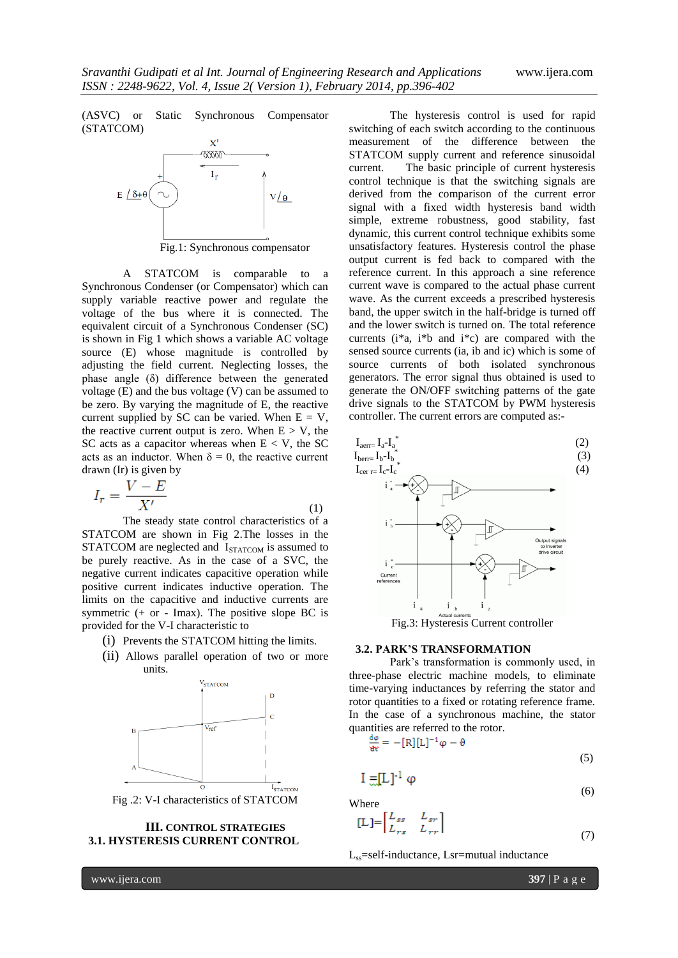(ASVC) or Static Synchronous Compensator (STATCOM)



Fig.1: Synchronous compensator

A STATCOM is comparable to a Synchronous Condenser (or Compensator) which can supply variable reactive power and regulate the voltage of the bus where it is connected. The equivalent circuit of a Synchronous Condenser (SC) is shown in Fig 1 which shows a variable AC voltage source (E) whose magnitude is controlled by adjusting the field current. Neglecting losses, the phase angle (δ) difference between the generated voltage (E) and the bus voltage (V) can be assumed to be zero. By varying the magnitude of E, the reactive current supplied by SC can be varied. When  $E = V$ , the reactive current output is zero. When  $E > V$ , the SC acts as a capacitor whereas when  $E < V$ , the SC acts as an inductor. When  $\delta = 0$ , the reactive current drawn (Ir) is given by

$$
I_r = \frac{V - E}{X'}\tag{1}
$$

The steady state control characteristics of a STATCOM are shown in Fig 2.The losses in the STATCOM are neglected and I<sub>STATCOM</sub> is assumed to be purely reactive. As in the case of a SVC, the negative current indicates capacitive operation while positive current indicates inductive operation. The limits on the capacitive and inductive currents are symmetric (+ or - Imax). The positive slope BC is provided for the V-I characteristic to

- (i) Prevents the STATCOM hitting the limits.
- (ii) Allows parallel operation of two or more units.



# **III. CONTROL STRATEGIES 3.1. HYSTERESIS CURRENT CONTROL**

The hysteresis control is used for rapid switching of each switch according to the continuous measurement of the difference between the STATCOM supply current and reference sinusoidal current. The basic principle of current hysteresis control technique is that the switching signals are derived from the comparison of the current error signal with a fixed width hysteresis band width simple, extreme robustness, good stability, fast dynamic, this current control technique exhibits some unsatisfactory features. Hysteresis control the phase output current is fed back to compared with the reference current. In this approach a sine reference current wave is compared to the actual phase current wave. As the current exceeds a prescribed hysteresis band, the upper switch in the half-bridge is turned off and the lower switch is turned on. The total reference currents (i\*a, i\*b and i\*c) are compared with the sensed source currents (ia, ib and ic) which is some of source currents of both isolated synchronous generators. The error signal thus obtained is used to generate the ON/OFF switching patterns of the gate drive signals to the STATCOM by PWM hysteresis controller. The current errors are computed as:-



#### **3.2. PARK'S TRANSFORMATION**

Park's transformation is commonly used, in three-phase electric machine models, to eliminate time-varying inductances by referring the stator and rotor quantities to a fixed or rotating reference frame. In the case of a synchronous machine, the stator quantities are referred to the rotor.

$$
\frac{d\phi}{dt} = -[R][L]^{-1}\phi - \theta
$$
\n(5)

$$
\Pi = \Pi \tag{6}
$$

Where

$$
[L] = \begin{bmatrix} L_{ss} & L_{sr} \\ L_{rs} & L_{rr} \end{bmatrix}
$$
\n
$$
(7)
$$

Lss=self-inductance, Lsr=mutual inductance

www.ijera.com **397** | P a g e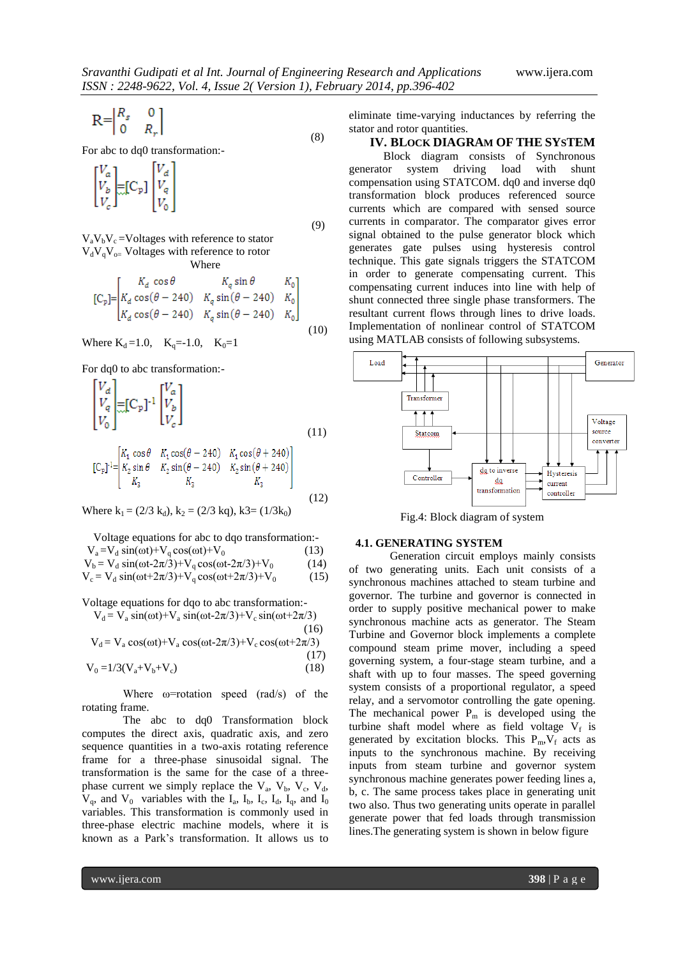$$
\mathbf{R} = \begin{bmatrix} R_s & 0 \\ 0 & R_r \end{bmatrix} \tag{8}
$$

For abc to dq0 transformation:-

$$
\begin{bmatrix} V_a \\ V_b \\ V_c \end{bmatrix} = \begin{bmatrix} C_{\text{p}} \end{bmatrix} \begin{bmatrix} V_d \\ V_q \\ V_0 \end{bmatrix}
$$

 (9)  $V_aV_bV_c$  =Voltages with reference to stator  $V_dV_qV_q$  Voltages with reference to rotor Where

$$
\begin{bmatrix}C_{\mathfrak{p}}\end{bmatrix} = \begin{bmatrix}K_d \cos\theta & K_q \sin\theta & K_0\\K_d \cos(\theta - 240) & K_q \sin(\theta - 240) & K_0\\K_d \cos(\theta - 240) & K_q \sin(\theta - 240) & K_0\end{bmatrix}
$$
\n(10)

Where  $K_d = 1.0$ ,  $K_d = -1.0$ ,  $K_0 = 1$ 

For dq0 to abc transformation:-

$$
\begin{bmatrix}\nV_d \\
V_q \\
V_0\n\end{bmatrix} = [C_p]^{-1} \begin{bmatrix}\nV_a \\
V_b \\
V_c\n\end{bmatrix}
$$
\n
$$
[K, \cos\theta \quad K, \cos(\theta - 240) \quad K, \cos(\theta + 240)]
$$
\n(11)

$$
[C_{p}]^{-1} = \begin{bmatrix} R_{1} \cos \theta & R_{1} \cos(\theta - 240) & R_{1} \cos(\theta + 240) \\ K_{2} \sin \theta & K_{2} \sin(\theta - 240) & K_{2} \sin(\theta + 240) \\ K_{3} & K_{3} & K_{3} \end{bmatrix}
$$
(12)

Where  $k_1 = (2/3 k_d)$ ,  $k_2 = (2/3 kq)$ ,  $k_3 = (1/3k_0)$ 

 Voltage equations for abc to dqo transformation:-  $V_a = V_d \sin(\omega t) + V_q \cos(\omega t) + V_0$  (13)

 $V_b = V_d \sin(\omega t - 2\pi/3) + V_q \cos(\omega t - 2\pi/3) + V_0$  (14)

 $V_c = V_d \sin(\omega t + 2\pi/3) + V_q \cos(\omega t + 2\pi/3) + V_0$  (15)

Voltage equations for dqo to abc transformation:-

$$
V_d = V_a \sin(\omega t) + V_a \sin(\omega t - 2\pi/3) + V_c \sin(\omega t + 2\pi/3)
$$
\n(16)

 $V_d = V_a \cos(\omega t) + V_a \cos(\omega t - 2\pi/3) + V_c \cos(\omega t + 2\pi/3)$ 

$$
V_0 = 1/3(V_a + V_b + V_c)
$$
\n(17)

Where  $\omega$ =rotation speed (rad/s) of the rotating frame.

The abc to dq0 Transformation block computes the direct axis, quadratic axis, and zero sequence quantities in a two-axis rotating reference frame for a three-phase sinusoidal signal. The transformation is the same for the case of a threephase current we simply replace the  $V_a$ ,  $V_b$ ,  $V_c$ ,  $V_d$ ,  $V_q$ , and  $V_0$  variables with the  $I_a$ ,  $I_b$ ,  $I_c$ ,  $I_d$ ,  $I_q$ , and  $I_0$ variables. This transformation is commonly used in three-phase electric machine models, where it is known as a Park's transformation. It allows us to

eliminate time-varying inductances by referring the stator and rotor quantities.

# **IV. BLOCK DIAGRAM OF THE SYSTEM**

Block diagram consists of Synchronous generator system driving load with shunt compensation using STATCOM. dq0 and inverse dq0 transformation block produces referenced source currents which are compared with sensed source currents in comparator. The comparator gives error signal obtained to the pulse generator block which generates gate pulses using hysteresis control technique. This gate signals triggers the STATCOM in order to generate compensating current. This compensating current induces into line with help of shunt connected three single phase transformers. The resultant current flows through lines to drive loads. Implementation of nonlinear control of STATCOM using MATLAB consists of following subsystems.



Fig.4: Block diagram of system

#### **4.1. GENERATING SYSTEM**

Generation circuit employs mainly consists of two generating units. Each unit consists of a synchronous machines attached to steam turbine and governor. The turbine and governor is connected in order to supply positive mechanical power to make synchronous machine acts as generator. The Steam Turbine and Governor block implements a complete compound steam prime mover, including a speed governing system, a four-stage steam turbine, and a shaft with up to four masses. The speed governing system consists of a proportional regulator, a speed relay, and a servomotor controlling the gate opening. The mechanical power  $P_m$  is developed using the turbine shaft model where as field voltage  $V_f$  is generated by excitation blocks. This  $P_m, V_f$  acts as inputs to the synchronous machine. By receiving inputs from steam turbine and governor system synchronous machine generates power feeding lines a, b, c. The same process takes place in generating unit two also. Thus two generating units operate in parallel generate power that fed loads through transmission lines.The generating system is shown in below figure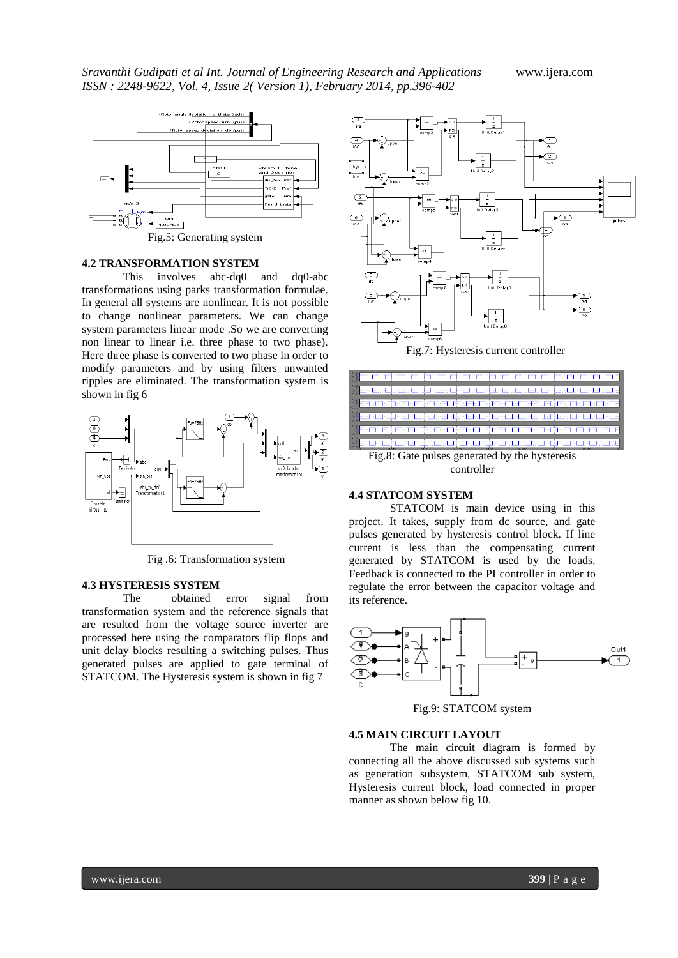

#### **4.2 TRANSFORMATION SYSTEM**

This involves abc-dq0 and dq0-abc transformations using parks transformation formulae. In general all systems are nonlinear. It is not possible to change nonlinear parameters. We can change system parameters linear mode .So we are converting non linear to linear i.e. three phase to two phase). Here three phase is converted to two phase in order to modify parameters and by using filters unwanted ripples are eliminated. The transformation system is shown in fig 6



Fig .6: Transformation system

#### **4.3 HYSTERESIS SYSTEM**

The obtained error signal from transformation system and the reference signals that are resulted from the voltage source inverter are processed here using the comparators flip flops and unit delay blocks resulting a switching pulses. Thus generated pulses are applied to gate terminal of STATCOM. The Hysteresis system is shown in fig 7





controller

#### **4.4 STATCOM SYSTEM**

STATCOM is main device using in this project. It takes, supply from dc source, and gate pulses generated by hysteresis control block. If line current is less than the compensating current generated by STATCOM is used by the loads. Feedback is connected to the PI controller in order to regulate the error between the capacitor voltage and its reference.



Fig.9: STATCOM system

#### **4.5 MAIN CIRCUIT LAYOUT**

The main circuit diagram is formed by connecting all the above discussed sub systems such as generation subsystem, STATCOM sub system, Hysteresis current block, load connected in proper manner as shown below fig 10.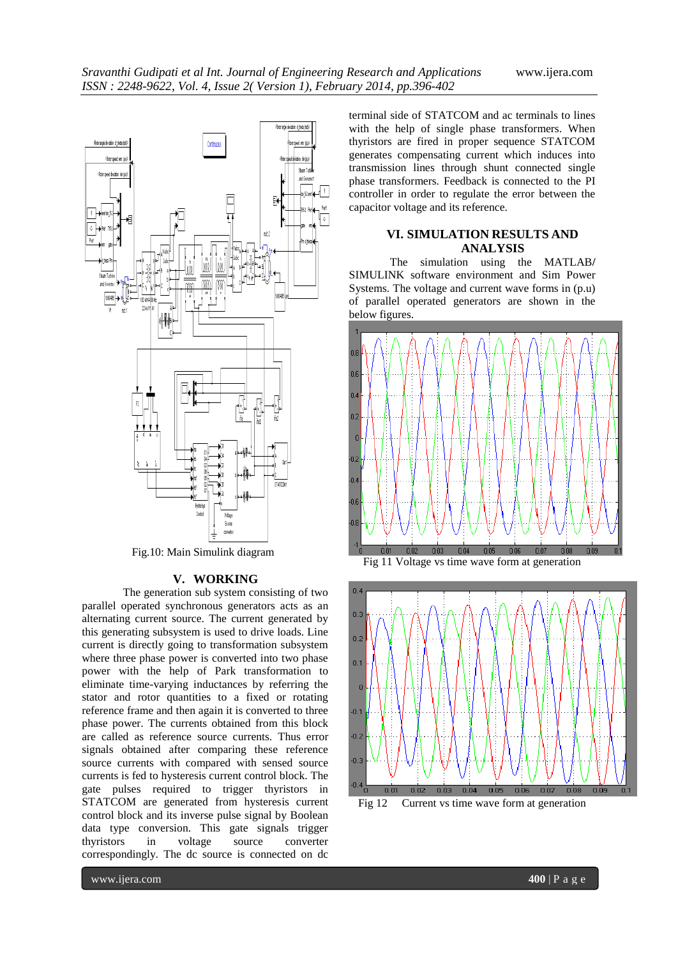

Fig.10: Main Simulink diagram

# **V. WORKING**

The generation sub system consisting of two parallel operated synchronous generators acts as an alternating current source. The current generated by this generating subsystem is used to drive loads. Line current is directly going to transformation subsystem where three phase power is converted into two phase power with the help of Park transformation to eliminate time-varying inductances by referring the stator and rotor quantities to a fixed or rotating reference frame and then again it is converted to three phase power. The currents obtained from this block are called as reference source currents. Thus error signals obtained after comparing these reference source currents with compared with sensed source currents is fed to hysteresis current control block. The gate pulses required to trigger thyristors in STATCOM are generated from hysteresis current control block and its inverse pulse signal by Boolean data type conversion. This gate signals trigger thyristors in voltage source converter correspondingly. The dc source is connected on dc

terminal side of STATCOM and ac terminals to lines with the help of single phase transformers. When thyristors are fired in proper sequence STATCOM generates compensating current which induces into transmission lines through shunt connected single phase transformers. Feedback is connected to the PI controller in order to regulate the error between the capacitor voltage and its reference.

# **VI. SIMULATION RESULTS AND ANALYSIS**

The simulation using the MATLAB**/** SIMULINK software environment and Sim Power Systems. The voltage and current wave forms in (p.u) of parallel operated generators are shown in the below figures.





Fig 12 Current vs time wave form at generation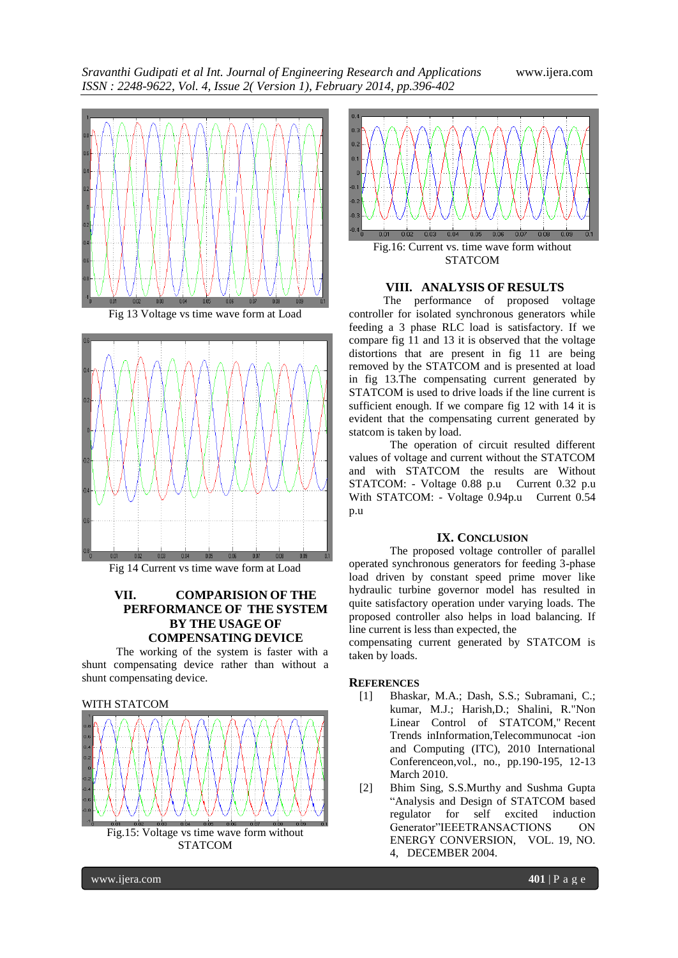*Sravanthi Gudipati et al Int. Journal of Engineering Research and Applications* www.ijera.com *ISSN : 2248-9622, Vol. 4, Issue 2( Version 1), February 2014, pp.396-402*





Fig 14 Current vs time wave form at Load

# **VII. COMPARISION OF THE PERFORMANCE OF THE SYSTEM BY THE USAGE OF COMPENSATING DEVICE**

The working of the system is faster with a shunt compensating device rather than without a shunt compensating device.

# WITH STATCOM



Fig.15: Voltage vs time wave form without STATCOM



#### **VIII. ANALYSIS OF RESULTS**

The performance of proposed voltage controller for isolated synchronous generators while feeding a 3 phase RLC load is satisfactory. If we compare fig 11 and 13 it is observed that the voltage distortions that are present in fig 11 are being removed by the STATCOM and is presented at load in fig 13.The compensating current generated by STATCOM is used to drive loads if the line current is sufficient enough. If we compare fig 12 with 14 it is evident that the compensating current generated by statcom is taken by load.

The operation of circuit resulted different values of voltage and current without the STATCOM and with STATCOM the results are Without STATCOM: - Voltage 0.88 p.u Current 0.32 p.u With STATCOM: - Voltage 0.94p.u Current 0.54 p.u

## **IX. CONCLUSION**

The proposed voltage controller of parallel operated synchronous generators for feeding 3-phase load driven by constant speed prime mover like hydraulic turbine governor model has resulted in quite satisfactory operation under varying loads. The proposed controller also helps in load balancing. If line current is less than expected, the

compensating current generated by STATCOM is taken by loads.

#### **REFERENCES**

- [1] Bhaskar, M.A.; Dash, S.S.; Subramani, C.; kumar, M.J.; Harish,D.; Shalini, R."Non Linear Control of STATCOM," Recent Trends inInformation,Telecommunocat -ion and Computing (ITC), 2010 International Conferenceon,vol., no., pp.190-195, 12-13 March 2010.
- [2] Bhim Sing, S.S.Murthy and Sushma Gupta "Analysis and Design of STATCOM based regulator for self excited induction Generator"IEEETRANSACTIONS ON ENERGY CONVERSION, VOL. 19, NO. 4, DECEMBER 2004.